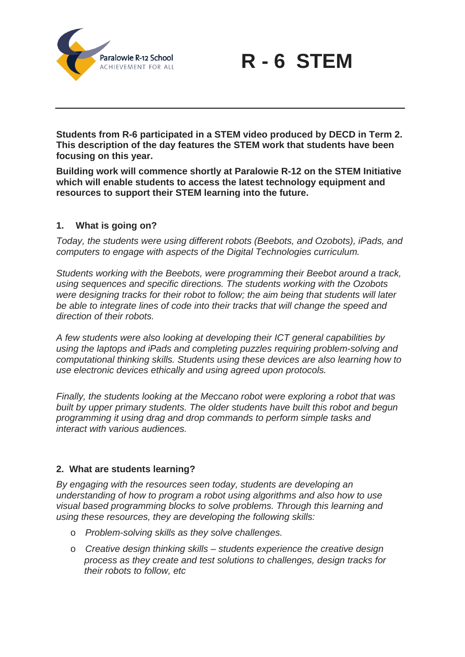



**Students from R-6 participated in a STEM video produced by DECD in Term 2. This description of the day features the STEM work that students have been focusing on this year.** 

**Building work will commence shortly at Paralowie R-12 on the STEM Initiative which will enable students to access the latest technology equipment and resources to support their STEM learning into the future.** 

## **1. What is going on?**

*Today, the students were using different robots (Beebots, and Ozobots), iPads, and computers to engage with aspects of the Digital Technologies curriculum.* 

*Students working with the Beebots, were programming their Beebot around a track, using sequences and specific directions. The students working with the Ozobots were designing tracks for their robot to follow; the aim being that students will later be able to integrate lines of code into their tracks that will change the speed and direction of their robots.* 

*A few students were also looking at developing their ICT general capabilities by using the laptops and iPads and completing puzzles requiring problem-solving and computational thinking skills. Students using these devices are also learning how to use electronic devices ethically and using agreed upon protocols.*

*Finally, the students looking at the Meccano robot were exploring a robot that was built by upper primary students. The older students have built this robot and begun programming it using drag and drop commands to perform simple tasks and interact with various audiences.* 

## **2. What are students learning?**

*By engaging with the resources seen today, students are developing an understanding of how to program a robot using algorithms and also how to use visual based programming blocks to solve problems. Through this learning and using these resources, they are developing the following skills:*

- o *Problem-solving skills as they solve challenges.*
- o *Creative design thinking skills students experience the creative design process as they create and test solutions to challenges, design tracks for their robots to follow, etc*